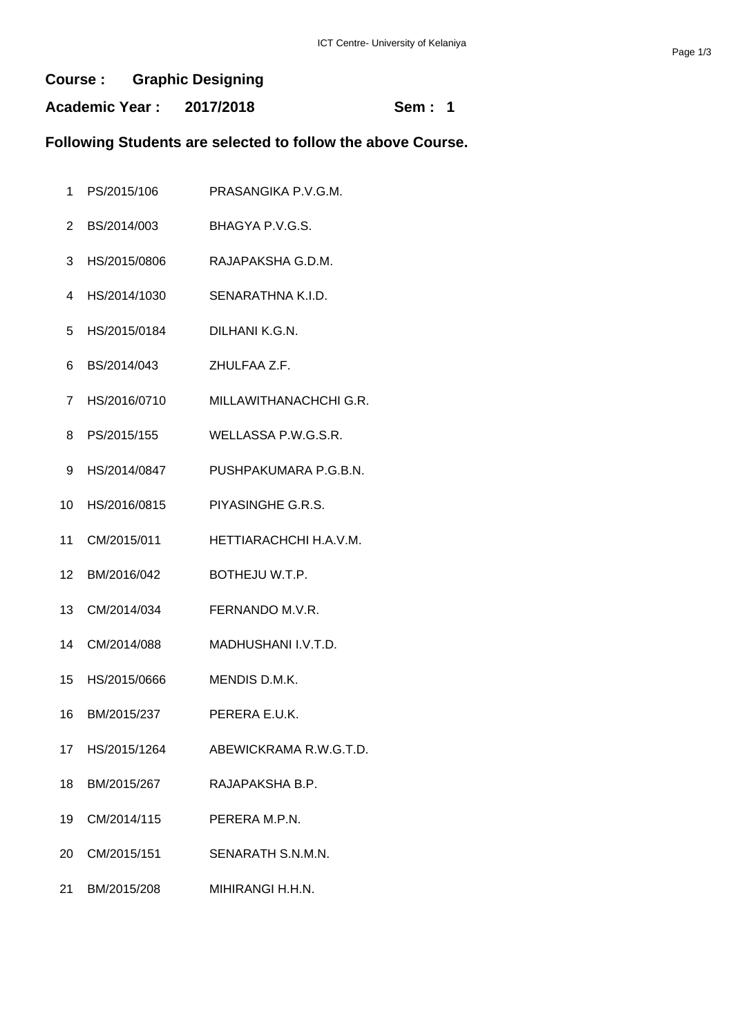#### **Course : Graphic Designing**

**Academic Year : 2017/2018 Sem : 1**

## **Following Students are selected to follow the above Course.**

- PS/2015/106 PRASANGIKA P.V.G.M.
- BS/2014/003 BHAGYA P.V.G.S.
- HS/2015/0806 RAJAPAKSHA G.D.M.
- HS/2014/1030 SENARATHNA K.I.D.
- HS/2015/0184 DILHANI K.G.N.
- BS/2014/043 ZHULFAA Z.F.
- HS/2016/0710 MILLAWITHANACHCHI G.R.
- PS/2015/155 WELLASSA P.W.G.S.R.
- HS/2014/0847 PUSHPAKUMARA P.G.B.N.
- HS/2016/0815 PIYASINGHE G.R.S.
- CM/2015/011 HETTIARACHCHI H.A.V.M.
- BM/2016/042 BOTHEJU W.T.P.
- CM/2014/034 FERNANDO M.V.R.
- CM/2014/088 MADHUSHANI I.V.T.D.
- HS/2015/0666 MENDIS D.M.K.
- BM/2015/237 PERERA E.U.K.
- HS/2015/1264 ABEWICKRAMA R.W.G.T.D.
- BM/2015/267 RAJAPAKSHA B.P.
- CM/2014/115 PERERA M.P.N.
- 20 CM/2015/151 SENARATH S.N.M.N.
- BM/2015/208 MIHIRANGI H.H.N.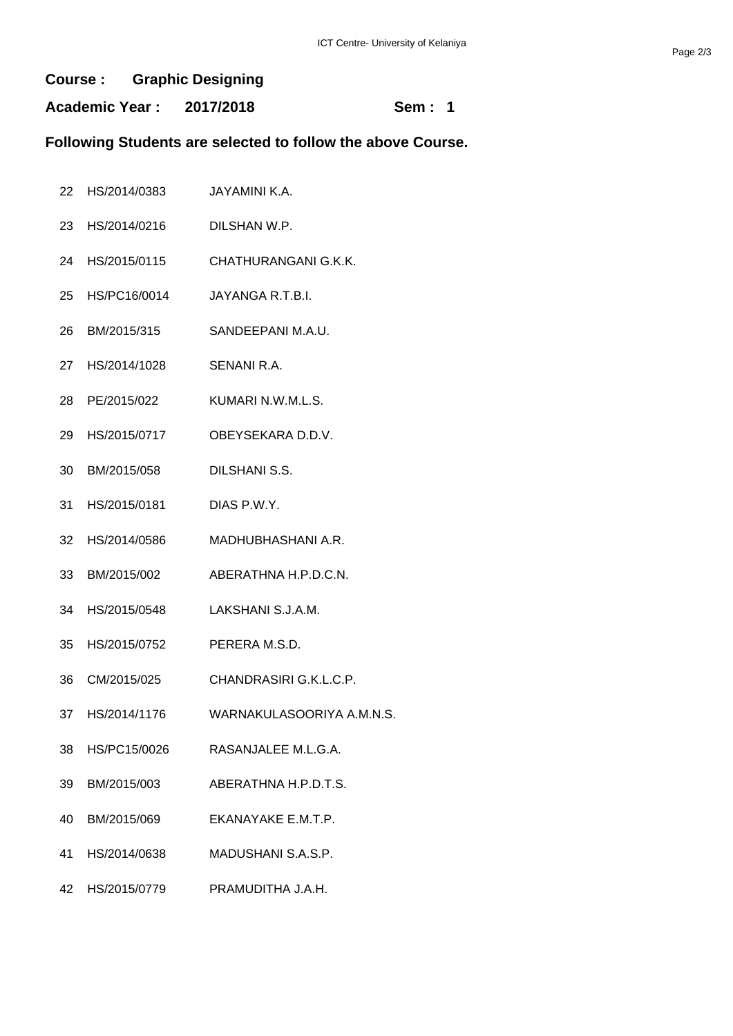#### **Course : Graphic Designing**

**Academic Year : 2017/2018 Sem : 1**

### **Following Students are selected to follow the above Course.**

- HS/2014/0383 JAYAMINI K.A.
- HS/2014/0216 DILSHAN W.P.
- HS/2015/0115 CHATHURANGANI G.K.K.
- HS/PC16/0014 JAYANGA R.T.B.I.
- BM/2015/315 SANDEEPANI M.A.U.
- HS/2014/1028 SENANI R.A.
- PE/2015/022 KUMARI N.W.M.L.S.
- HS/2015/0717 OBEYSEKARA D.D.V.
- BM/2015/058 DILSHANI S.S.
- HS/2015/0181 DIAS P.W.Y.
- HS/2014/0586 MADHUBHASHANI A.R.
- BM/2015/002 ABERATHNA H.P.D.C.N.
- HS/2015/0548 LAKSHANI S.J.A.M.
- HS/2015/0752 PERERA M.S.D.
- CM/2015/025 CHANDRASIRI G.K.L.C.P.
- HS/2014/1176 WARNAKULASOORIYA A.M.N.S.
- HS/PC15/0026 RASANJALEE M.L.G.A.
- BM/2015/003 ABERATHNA H.P.D.T.S.
- BM/2015/069 EKANAYAKE E.M.T.P.
- HS/2014/0638 MADUSHANI S.A.S.P.
- HS/2015/0779 PRAMUDITHA J.A.H.